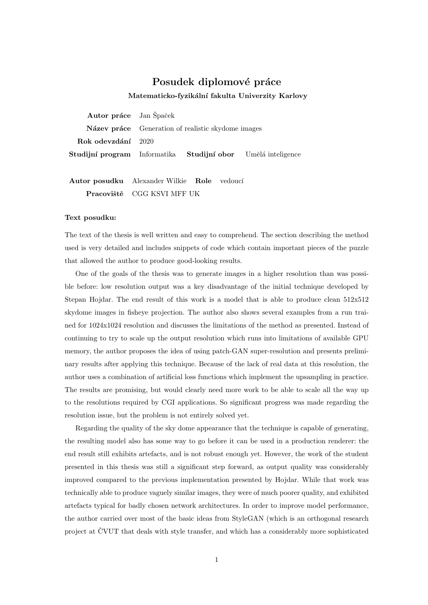## Posudek diplomové práce

Matematicko-fyzikální fakulta Univerzity Karlovy

Autor práce Jan Špaček Název práce Generation of realistic skydome images Rok odevzdání 2020 Studijní program Informatika Studijní obor Umělá inteligence

Autor posudku Alexander Wilkie Role vedoucí Pracoviště CGG KSVI MFF UK

## Text posudku:

The text of the thesis is well written and easy to comprehend. The section describing the method used is very detailed and includes snippets of code which contain important pieces of the puzzle that allowed the author to produce good-looking results.

One of the goals of the thesis was to generate images in a higher resolution than was possible before: low resolution output was a key disadvantage of the initial technique developed by Stepan Hojdar. The end result of this work is a model that is able to produce clean 512x512 skydome images in fisheye projection. The author also shows several examples from a run trained for 1024x1024 resolution and discusses the limitations of the method as presented. Instead of continuing to try to scale up the output resolution which runs into limitations of available GPU memory, the author proposes the idea of using patch-GAN super-resolution and presents preliminary results after applying this technique. Because of the lack of real data at this resolution, the author uses a combination of artificial loss functions which implement the upsampling in practice. The results are promising, but would clearly need more work to be able to scale all the way up to the resolutions required by CGI applications. So significant progress was made regarding the resolution issue, but the problem is not entirely solved yet.

Regarding the quality of the sky dome appearance that the technique is capable of generating, the resulting model also has some way to go before it can be used in a production renderer: the end result still exhibits artefacts, and is not robust enough yet. However, the work of the student presented in this thesis was still a significant step forward, as output quality was considerably improved compared to the previous implementation presented by Hojdar. While that work was technically able to produce vaguely similar images, they were of much poorer quality, and exhibited artefacts typical for badly chosen network architectures. In order to improve model performance, the author carried over most of the basic ideas from StyleGAN (which is an orthogonal research project at CVUT that deals with style transfer, and which has a considerably more sophisticated